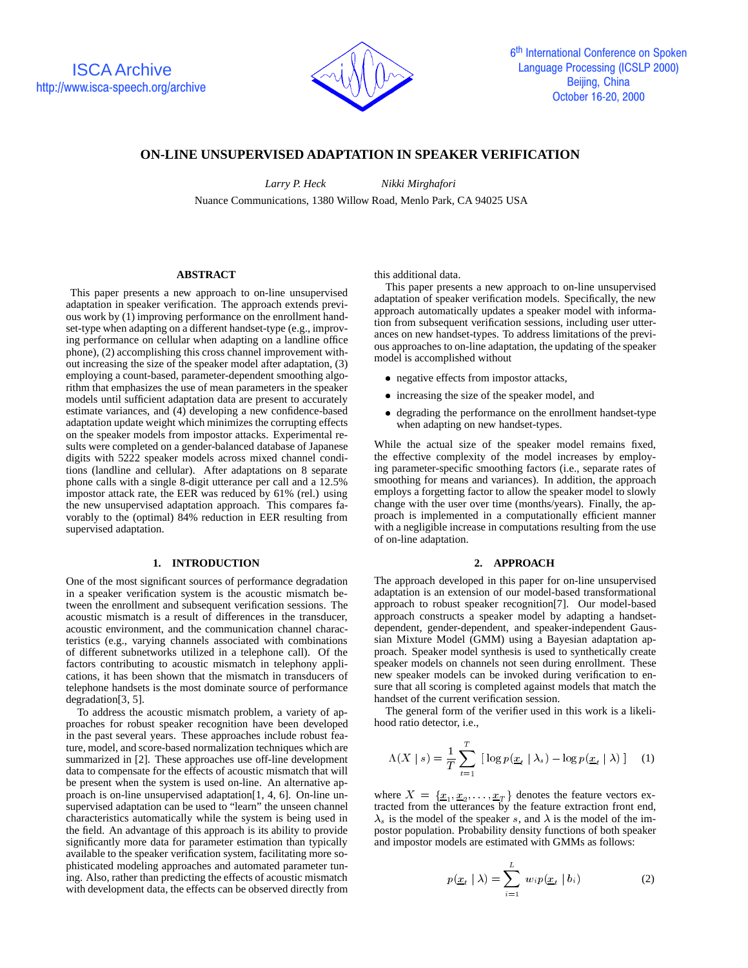

# **ON-LINE UNSUPERVISED ADAPTATION IN SPEAKER VERIFICATION**

*Larry P. Heck Nikki Mirghafori* Nuance Communications, 1380 Willow Road, Menlo Park, CA 94025 USA

### **ABSTRACT**

This paper presents a new approach to on-line unsupervised adaptation in speaker verification. The approach extends previous work by (1) improving performance on the enrollment handset-type when adapting on a different handset-type (e.g., improving performance on cellular when adapting on a landline office phone), (2) accomplishing this cross channel improvement without increasing the size of the speaker model after adaptation, (3) employing a count-based, parameter-dependent smoothing algorithm that emphasizes the use of mean parameters in the speaker models until sufficient adaptation data are present to accurately estimate variances, and (4) developing a new confidence-based adaptation update weight which minimizes the corrupting effects on the speaker models from impostor attacks. Experimental results were completed on a gender-balanced database of Japanese digits with 5222 speaker models across mixed channel conditions (landline and cellular). After adaptations on 8 separate phone calls with a single 8-digit utterance per call and a 12.5% impostor attack rate, the EER was reduced by 61% (rel.) using the new unsupervised adaptation approach. This compares favorably to the (optimal) 84% reduction in EER resulting from supervised adaptation.

### **1. INTRODUCTION**

One of the most significant sources of performance degradation in a speaker verification system is the acoustic mismatch between the enrollment and subsequent verification sessions. The acoustic mismatch is a result of differences in the transducer, acoustic environment, and the communication channel characteristics (e.g., varying channels associated with combinations of different subnetworks utilized in a telephone call). Of the factors contributing to acoustic mismatch in telephony applications, it has been shown that the mismatch in transducers of telephone handsets is the most dominate source of performance degradation[3, 5].

To address the acoustic mismatch problem, a variety of approaches for robust speaker recognition have been developed in the past several years. These approaches include robust feature, model, and score-based normalization techniques which are summarized in [2]. These approaches use off-line development data to compensate for the effects of acoustic mismatch that will be present when the system is used on-line. An alternative approach is on-line unsupervised adaptation[1, 4, 6]. On-line unsupervised adaptation can be used to "learn" the unseen channel characteristics automatically while the system is being used in the field. An advantage of this approach is its ability to provide significantly more data for parameter estimation than typically available to the speaker verification system, facilitating more sophisticated modeling approaches and automated parameter tuning. Also, rather than predicting the effects of acoustic mismatch with development data, the effects can be observed directly from

this additional data.

This paper presents a new approach to on-line unsupervised adaptation of speaker verification models. Specifically, the new approach automatically updates a speaker model with information from subsequent verification sessions, including user utterances on new handset-types. To address limitations of the previous approaches to on-line adaptation, the updating of the speaker model is accomplished without

- negative effects from impostor attacks,
- increasing the size of the speaker model, and
- degrading the performance on the enrollment handset-type when adapting on new handset-types.

While the actual size of the speaker model remains fixed, the effective complexity of the model increases by employing parameter-specific smoothing factors (i.e., separate rates of smoothing for means and variances). In addition, the approach employs a forgetting factor to allow the speaker model to slowly change with the user over time (months/years). Finally, the approach is implemented in a computationally efficient manner with a negligible increase in computations resulting from the use of on-line adaptation.

## **2. APPROACH**

The approach developed in this paper for on-line unsupervised adaptation is an extension of our model-based transformational approach to robust speaker recognition[7]. Our model-based approach constructs a speaker model by adapting a handsetdependent, gender-dependent, and speaker-independent Gaussian Mixture Model (GMM) using a Bayesian adaptation approach. Speaker model synthesis is used to synthetically create speaker models on channels not seen during enrollment. These new speaker models can be invoked during verification to ensure that all scoring is completed against models that match the handset of the current verification session.

The general form of the verifier used in this work is a likelihood ratio detector, i.e.,

$$
\Lambda(X \mid s) = \frac{1}{T} \sum_{t=1}^{T} \left[ \log p(\underline{x}_t \mid \lambda_s) - \log p(\underline{x}_t \mid \lambda) \right] \tag{1}
$$

where  $X = \{ \underline{x}_1, \underline{x}_2, \dots, \underline{x}_T \}$  denotes the feature vectors extracted from the utterances by the feature extraction front end,  $\lambda_s$  is the model of the speaker s, and  $\lambda$  is the model of the impostor population. Probability density functions of both speaker and impostor models are estimated with GMMs as follows:

$$
p(\underline{x}_t \mid \lambda) = \sum_{i=1}^{L} w_i p(\underline{x}_t \mid b_i)
$$
 (2)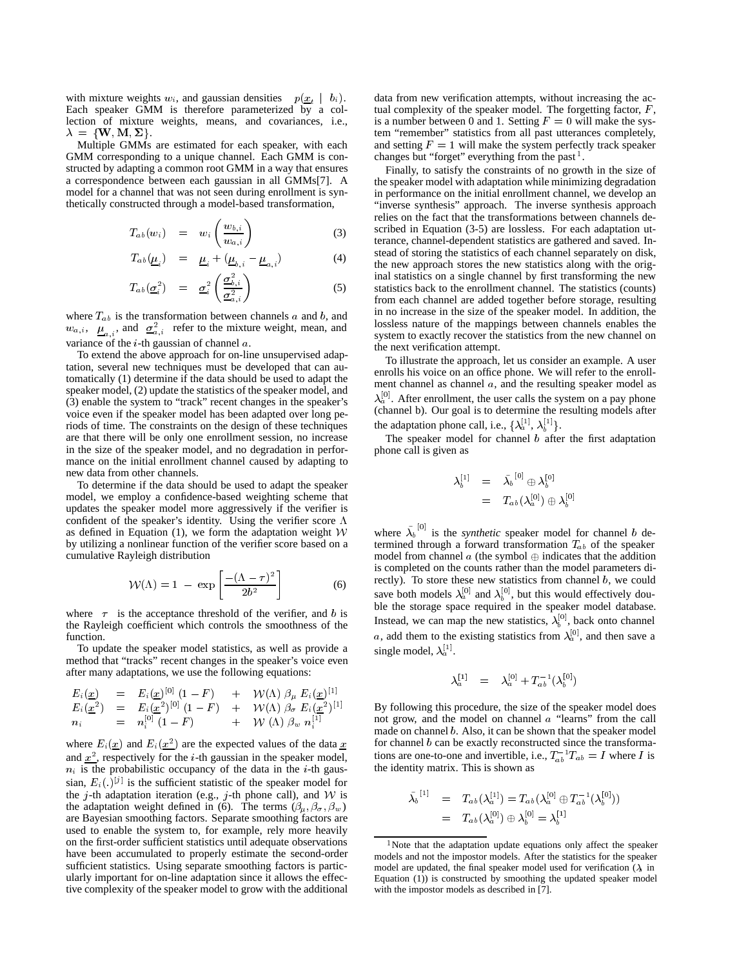with mixture weights  $w_i$ , and gaussian densities  $p(\underline{x}_t | b_i)$ . Each speaker GMM is therefore parameterized by a collection of mixture weights, means, and covariances, i.e.,  $\lambda = \{W, M, \Sigma\}.$ 

Multiple GMMs are estimated for each speaker, with each GMM corresponding to a unique channel. Each GMM is constructed by adapting a common root GMM in a way that ensures a correspondence between each gaussian in all GMMs[7]. A model for a channel that was not seen during enrollment is synthetically constructed through a model-based transformation,

$$
T_{ab}(w_i) = w_i \left( \frac{w_{b,i}}{w_{a,i}} \right)
$$
 (3)

$$
T_{ab}(\underline{\mu}_i) = \underline{\mu}_i + (\underline{\mu}_{b,i} - \underline{\mu}_{a,i})
$$
 (4)

$$
T_{ab}(\underline{\sigma}_i^2) = \underline{\sigma}_i^2 \left( \frac{\underline{\sigma}_{b,i}^2}{\underline{\sigma}_{a,i}^2} \right)
$$
 (5)

where  $T_{ab}$  is the transformation between channels a and b, and  $w_{a,i}$ ,  $\mu_{a,i}$ , and  $\sigma_{a,i}^2$  refer to the mixture weight, mean, and variance of the  $i$ -th gaussian of channel  $a$ .

To extend the above approach for on-line unsupervised adaptation, several new techniques must be developed that can automatically (1) determine if the data should be used to adapt the speaker model, (2) update the statistics of the speaker model, and (3) enable the system to "track" recent changes in the speaker's voice even if the speaker model has been adapted over long periods of time. The constraints on the design of these techniques are that there will be only one enrollment session, no increase in the size of the speaker model, and no degradation in performance on the initial enrollment channel caused by adapting to new data from other channels.

To determine if the data should be used to adapt the speaker model, we employ a confidence-based weighting scheme that updates the speaker model more aggressively if the verifier is confident of the speaker's identity. Using the verifier score  $\Lambda$ as defined in Equation (1), we form the adaptation weight  $W$ by utilizing a nonlinear function of the verifier score based on a cumulative Rayleigh distribution

$$
\mathcal{W}(\Lambda) = 1 - \exp\left[\frac{-(\Lambda - \tau)^2}{2b^2}\right] \tag{6}
$$

where  $\tau$  is the acceptance threshold of the verifier, and b is the Rayleigh coefficient which controls the smoothness of the function.

To update the speaker model statistics, as well as provide a method that "tracks" recent changes in the speaker's voice even after many adaptations, we use the following equations:

$$
\begin{array}{rcl}\nE_i(\underline{x}) & = & E_i(\underline{x})^{[0]} \ (1 - F) & + & \mathcal{W}(\Lambda) \ \beta_\mu \ E_i(\underline{x})^{[1]} \\
E_i(\underline{x}^2) & = & E_i(\underline{x}^2)^{[0]} \ (1 - F) & + & \mathcal{W}(\Lambda) \ \beta_\sigma \ E_i(\underline{x}^2)^{[1]} \\
n_i & = & n_i^{[0]} \ (1 - F) & + & \mathcal{W}(\Lambda) \ \beta_w \ n_i^{[1]}\n\end{array}
$$

where  $E_i(\underline{x})$  and  $E_i(\underline{x}^2)$  are the expected values of the data  $\underline{x}$  for c and  $x^2$ , respectively for the *i*-th gaussian in the speaker model,  $n_i$  is the probabilistic occupancy of the data in the *i*-th gaussian,  $E_i(.)^{|j|}$  is the sufficient statistic of the speaker model for the j-th adaptation iteration (e.g., j-th phone call), and  $W$  is the adaptation weight defined in (6). The terms  $(\beta_{\mu}, \beta_{\sigma}, \beta_{w})$ are Bayesian smoothing factors. Separate smoothing factors are used to enable the system to, for example, rely more heavily on the first-order sufficient statistics until adequate observations have been accumulated to properly estimate the second-order sufficient statistics. Using separate smoothing factors is particularly important for on-line adaptation since it allows the effective complexity of the speaker model to grow with the additional

data from new verification attempts, without increasing the actual complexity of the speaker model. The forgetting factor,  $F$ , is a number between 0 and 1. Setting  $F = 0$  will make the system "remember" statistics from all past utterances completely, and setting  $F = 1$  will make the system perfectly track speaker changes but "forget" everything from the past <sup>1</sup>.

Finally, to satisfy the constraints of no growth in the size of the speaker model with adaptation while minimizing degradation in performance on the initial enrollment channel, we develop an "inverse synthesis" approach. The inverse synthesis approach relies on the fact that the transformations between channels described in Equation (3-5) are lossless. For each adaptation utterance, channel-dependent statistics are gathered and saved. Instead of storing the statistics of each channel separately on disk, the new approach stores the new statistics along with the original statistics on a single channel by first transforming the new statistics back to the enrollment channel. The statistics (counts) from each channel are added together before storage, resulting in no increase in the size of the speaker model. In addition, the lossless nature of the mappings between channels enables the system to exactly recover the statistics from the new channel on the next verification attempt.

To illustrate the approach, let us consider an example. A user enrolls his voice on an office phone. We will refer to the enrollment channel as channel  $a$ , and the resulting speaker model as  $\lambda_a^{[0]}$ . After enrollment, the user calls the system on a pay phone (channel b). Our goal is to determine the resulting models after the adaptation phone call, i.e.,  $\{\lambda_a^{\downarrow\downarrow}, \lambda_b^{\downarrow\downarrow}\}.$ 

The speaker model for channel  $b$  after the first adaptation phone call is given as

$$
\begin{array}{ccc} \lambda_b^{[1]} & = & \tilde{\lambda_b}^{[0]} \oplus \lambda_b^{[0]} \\ & = & T_{ab}(\lambda_a^{[0]}) \oplus \lambda_b^{[0]} \end{array}
$$

where  $\lambda_b$ <sup>[0]</sup> is the *synthetic* speaker model for channel b determined through a forward transformation  $T_{ab}$  of the speaker model from channel  $a$  (the symbol  $\oplus$  indicates that the addition is completed on the counts rather than the model parameters directly). To store these new statistics from channel  $b$ , we could save both models  $\lambda_a^{\{0\}}$  and  $\lambda_b^{\{0\}}$ , but this would effectively double the storage space required in the speaker model database. Instead, we can map the new statistics,  $\lambda_b^{\{0\}}$ , back onto channel a, add them to the existing statistics from  $\lambda_a^{[0]}$ , and then save a single model,  $\lambda_a^{\downarrow \downarrow}$ .

$$
\lambda_a^{[1]} \quad = \quad \lambda_a^{[0]} + T_{ab}^{-1}(\lambda_b^{[0]})
$$

By following this procedure, the size of the speaker model does not grow, and the model on channel <sup>a</sup> "learns" from the call made on channel b. Also, it can be shown that the speaker model for channel  $b$  can be exactly reconstructed since the transformations are one-to-one and invertible, i.e.,  $T_{ab}^{-1}T_{ab} = I$  where I is the identity matrix. This is shown as

$$
\begin{array}{lll} \tilde{\lambda_b}^{[1]} & = & T_{ab}(\lambda_a^{[1]}) = T_{ab}(\lambda_a^{[0]} \oplus T_{ab}^{-1}(\lambda_b^{[0]})) \\ & = & T_{ab}(\lambda_a^{[0]}) \oplus \lambda_b^{[0]} = \lambda_b^{[1]} \end{array}
$$

<sup>&</sup>lt;sup>1</sup>Note that the adaptation update equations only affect the speaker models and not the impostor models. After the statistics for the speaker model are updated, the final speaker model used for verification  $(\lambda_s)$  in Equation (1)) is constructed by smoothing the updated speaker model with the impostor models as described in [7].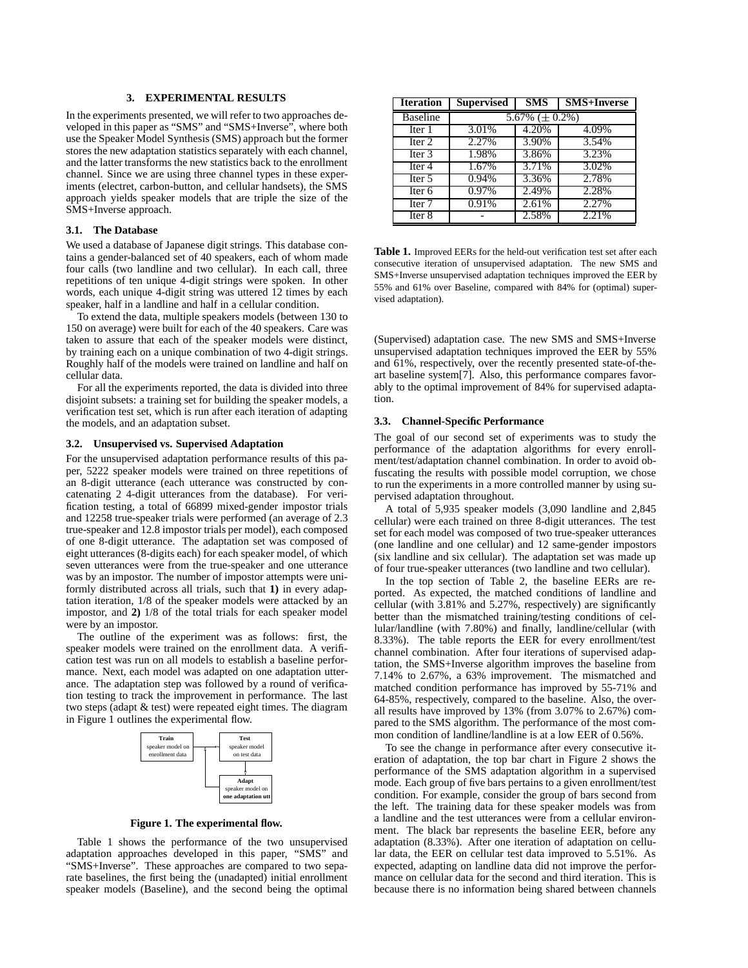### **3. EXPERIMENTAL RESULTS**

In the experiments presented, we will refer to two approaches developed in this paper as "SMS" and "SMS+Inverse", where both use the Speaker Model Synthesis (SMS) approach but the former stores the new adaptation statistics separately with each channel, and the latter transforms the new statistics back to the enrollment channel. Since we are using three channel types in these experiments (electret, carbon-button, and cellular handsets), the SMS approach yields speaker models that are triple the size of the SMS+Inverse approach.

### **3.1. The Database**

We used a database of Japanese digit strings. This database contains a gender-balanced set of 40 speakers, each of whom made four calls (two landline and two cellular). In each call, three repetitions of ten unique 4-digit strings were spoken. In other words, each unique 4-digit string was uttered 12 times by each speaker, half in a landline and half in a cellular condition.

To extend the data, multiple speakers models (between 130 to 150 on average) were built for each of the 40 speakers. Care was taken to assure that each of the speaker models were distinct, by training each on a unique combination of two 4-digit strings. Roughly half of the models were trained on landline and half on cellular data.

For all the experiments reported, the data is divided into three disjoint subsets: a training set for building the speaker models, a verification test set, which is run after each iteration of adapting the models, and an adaptation subset.

#### **3.2. Unsupervised vs. Supervised Adaptation**

For the unsupervised adaptation performance results of this paper, 5222 speaker models were trained on three repetitions of an 8-digit utterance (each utterance was constructed by concatenating 2 4-digit utterances from the database). For verification testing, a total of 66899 mixed-gender impostor trials and 12258 true-speaker trials were performed (an average of 2.3 true-speaker and 12.8 impostor trials per model), each composed of one 8-digit utterance. The adaptation set was composed of eight utterances (8-digits each) for each speaker model, of which seven utterances were from the true-speaker and one utterance was by an impostor. The number of impostor attempts were uniformly distributed across all trials, such that **1)** in every adaptation iteration, 1/8 of the speaker models were attacked by an impostor, and **2)** 1/8 of the total trials for each speaker model were by an impostor.

The outline of the experiment was as follows: first, the speaker models were trained on the enrollment data. A verification test was run on all models to establish a baseline performance. Next, each model was adapted on one adaptation utterance. The adaptation step was followed by a round of verification testing to track the improvement in performance. The last two steps (adapt & test) were repeated eight times. The diagram in Figure 1 outlines the experimental flow.



**Figure 1. The experimental flow.**

Table 1 shows the performance of the two unsupervised adaptation approaches developed in this paper, "SMS" and "SMS+Inverse". These approaches are compared to two separate baselines, the first being the (unadapted) initial enrollment speaker models (Baseline), and the second being the optimal

| <b>Iteration</b>  | <b>Supervised</b>   | <b>SMS</b> | <b>SMS+Inverse</b> |
|-------------------|---------------------|------------|--------------------|
| <b>Baseline</b>   | 5.67% $(\pm 0.2\%)$ |            |                    |
| Iter 1            | 3.01%               | 4.20%      | 4.09%              |
| Iter 2            | 2.27%               | 3.90%      | 3.54%              |
| Iter $3$          | 1.98%               | 3.86%      | 3.23%              |
| Iter 4            | 1.67%               | 3.71%      | 3.02%              |
| $\text{Iter } 5$  | 0.94%               | 3.36%      | 2.78%              |
| Iter <sub>6</sub> | 0.97%               | 2.49%      | 2.28%              |
| Iter <sub>7</sub> | 0.91%               | 2.61%      | 2.27%              |
| Iter <sub>8</sub> |                     | 2.58%      | 2.21%              |

**Table 1.** Improved EERs for the held-out verification test set after each consecutive iteration of unsupervised adaptation. The new SMS and SMS+Inverse unsupervised adaptation techniques improved the EER by 55% and 61% over Baseline, compared with 84% for (optimal) supervised adaptation).

(Supervised) adaptation case. The new SMS and SMS+Inverse unsupervised adaptation techniques improved the EER by 55% and 61%, respectively, over the recently presented state-of-theart baseline system[7]. Also, this performance compares favorably to the optimal improvement of 84% for supervised adaptation.

#### **3.3. Channel-Specific Performance**

The goal of our second set of experiments was to study the performance of the adaptation algorithms for every enrollment/test/adaptation channel combination. In order to avoid obfuscating the results with possible model corruption, we chose to run the experiments in a more controlled manner by using supervised adaptation throughout.

A total of 5,935 speaker models (3,090 landline and 2,845 cellular) were each trained on three 8-digit utterances. The test set for each model was composed of two true-speaker utterances (one landline and one cellular) and 12 same-gender impostors (six landline and six cellular). The adaptation set was made up of four true-speaker utterances (two landline and two cellular).

In the top section of Table 2, the baseline EERs are reported. As expected, the matched conditions of landline and cellular (with 3.81% and 5.27%, respectively) are significantly better than the mismatched training/testing conditions of cellular/landline (with 7.80%) and finally, landline/cellular (with 8.33%). The table reports the EER for every enrollment/test channel combination. After four iterations of supervised adaptation, the SMS+Inverse algorithm improves the baseline from 7.14% to 2.67%, a 63% improvement. The mismatched and matched condition performance has improved by 55-71% and 64-85%, respectively, compared to the baseline. Also, the overall results have improved by 13% (from 3.07% to 2.67%) compared to the SMS algorithm. The performance of the most common condition of landline/landline is at a low EER of 0.56%.

To see the change in performance after every consecutive iteration of adaptation, the top bar chart in Figure 2 shows the performance of the SMS adaptation algorithm in a supervised mode. Each group of five bars pertains to a given enrollment/test condition. For example, consider the group of bars second from the left. The training data for these speaker models was from a landline and the test utterances were from a cellular environment. The black bar represents the baseline EER, before any adaptation (8.33%). After one iteration of adaptation on cellular data, the EER on cellular test data improved to 5.51%. As expected, adapting on landline data did not improve the performance on cellular data for the second and third iteration. This is because there is no information being shared between channels